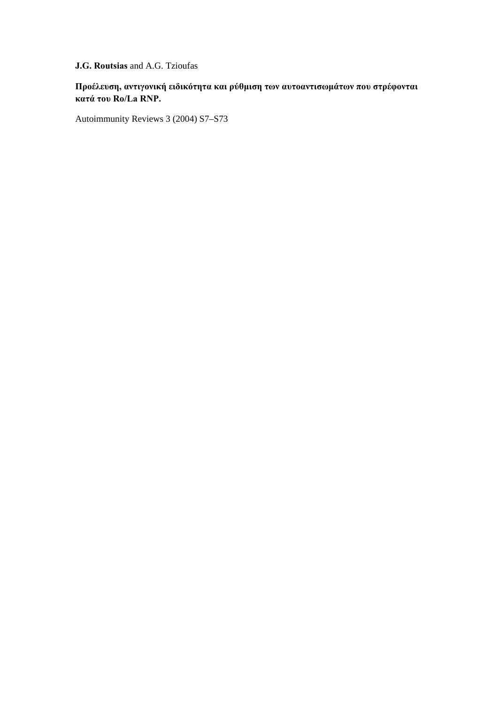**J.G. Routsias** and A.G. Tzioufas

**Προέλευση, αντιγονική ειδικότητα και ρύθμιση των αυτοαντισωμάτων που στρέφονται κατά του Ro/La RNP.** 

Autoimmunity Reviews 3 (2004) S7–S73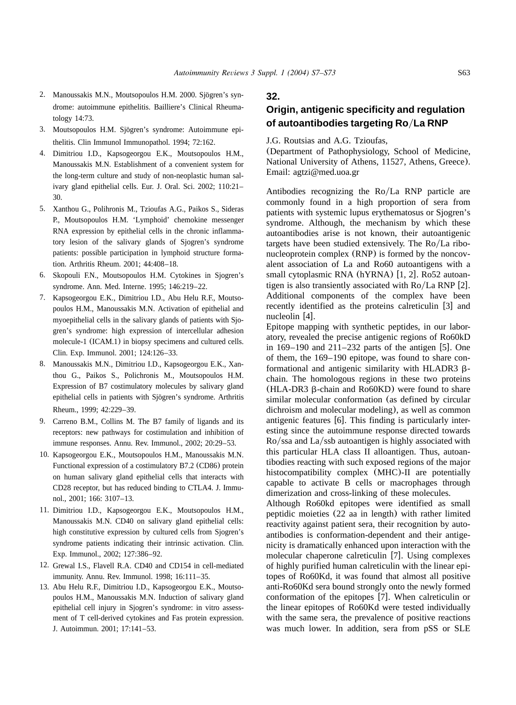- 2. Manoussakis M.N., Moutsopoulos H.M. 2000. Sjögren's syndrome: autoimmune epithelitis. Bailliere's Clinical Rheumatology 14:73.
- 3. Moutsopoulos H.M. Sjögren's syndrome: Autoimmune epithelitis. Clin Immunol Immunopathol. 1994; 72:162.
- 4. Dimitriou I.D., Kapsogeorgou E.K., Moutsopoulos H.M., Manoussakis M.N. Establishment of a convenient system for the long-term culture and study of non-neoplastic human salivary gland epithelial cells. Eur. J. Oral. Sci. 2002; 110:21– 30.
- 5. Xanthou G., Polihronis M., Tzioufas A.G., Paikos S., Sideras P., Moutsopoulos H.M. 'Lymphoid' chemokine messenger RNA expression by epithelial cells in the chronic inflammatory lesion of the salivary glands of Sjogren's syndrome patients: possible participation in lymphoid structure formation. Arthritis Rheum. 2001; 44:408–18.
- 6. Skopouli F.N., Moutsopoulos H.M. Cytokines in Sjogren's syndrome. Ann. Med. Interne. 1995; 146:219–22.
- 7. Kapsogeorgou E.K., Dimitriou I.D., Abu Helu R.F., Moutsopoulos H.M., Manoussakis M.N. Activation of epithelial and myoepithelial cells in the salivary glands of patients with Siogren's syndrome: high expression of intercellular adhesion molecule-1 (ICAM.1) in biopsy specimens and cultured cells. Clin. Exp. Immunol. 2001; 124:126–33.
- 8. Manoussakis M.N., Dimitriou I.D., Kapsogeorgou E.K., Xanthou G., Paikos S., Polichronis M., Moutsopoulos H.M. Expression of B7 costimulatory molecules by salivary gland epithelial cells in patients with Sjögren's syndrome. Arthritis Rheum., 1999; 42:229–39.
- 9. Carreno B.M., Collins M. The B7 family of ligands and its receptors: new pathways for costimulation and inhibition of immune responses. Annu. Rev. Immunol., 2002; 20:29–53.
- 10. Kapsogeorgou E.K., Moutsopoulos H.M., Manoussakis M.N. Functional expression of a costimulatory B7.2 (CD86) protein on human salivary gland epithelial cells that interacts with CD28 receptor, but has reduced binding to CTLA4. J. Immunol., 2001; 166: 3107–13.
- 11. Dimitriou I.D., Kapsogeorgou E.K., Moutsopoulos H.M., Manoussakis M.N. CD40 on salivary gland epithelial cells: high constitutive expression by cultured cells from Sjogren's syndrome patients indicating their intrinsic activation. Clin. Exp. Immunol., 2002; 127:386–92.
- 12. Grewal I.S., Flavell R.A. CD40 and CD154 in cell-mediated immunity. Annu. Rev. Immunol. 1998; 16:111–35.
- 13. Abu Helu R.F., Dimitriou I.D., Kapsogeorgou E.K., Moutsopoulos H.M., Manoussakis M.N. Induction of salivary gland epithelial cell injury in Sjogren's syndrome: in vitro assessment of T cell-derived cytokines and Fas protein expression. J. Autoimmun. 2001; 17:141–53.

### **32.**

# **Origin, antigenic specificity and regulation of autoantibodies targeting Ro**y**La RNP**

J.G. Routsias and A.G. Tzioufas,

(Department of Pathophysiology, School of Medicine, National University of Athens, 11527, Athens, Greece). Email: agtzi@med.uoa.gr

Antibodies recognizing the Ro/La RNP particle are commonly found in a high proportion of sera from patients with systemic lupus erythematosus or Sjogren's syndrome. Although, the mechanism by which these autoantibodies arise is not known, their autoantigenic targets have been studied extensively. The Ro/La ribonucleoprotein complex (RNP) is formed by the noncovalent association of La and Ro60 autoantigens with a small cytoplasmic RNA (hYRNA) [1, 2]. Ro52 autoantigen is also transiently associated with  $Ro/La$  RNP [2]. Additional components of the complex have been recently identified as the proteins calreticulin [3] and nucleolin  $[4]$ .

Epitope mapping with synthetic peptides, in our laboratory, revealed the precise antigenic regions of Ro60kD in  $169-190$  and  $211-232$  parts of the antigen [5]. One of them, the  $169-190$  epitope, was found to share conformational and antigenic similarity with HLADR3  $\beta$ chain. The homologous regions in these two proteins (HLA-DR3  $\beta$ -chain and Ro60KD) were found to share similar molecular conformation (as defined by circular dichroism and molecular modeling), as well as common antigenic features  $[6]$ . This finding is particularly interesting since the autoimmune response directed towards  $Ro/ssa$  and  $La/ssb$  autoantigen is highly associated with this particular HLA class II alloantigen. Thus, autoantibodies reacting with such exposed regions of the major histocompatibility complex (MHC)-II are potentially capable to activate B cells or macrophages through dimerization and cross-linking of these molecules.

Although Ro60kd epitopes were identified as small peptidic moieties (22 aa in length) with rather limited reactivity against patient sera, their recognition by autoantibodies is conformation-dependent and their antigenicity is dramatically enhanced upon interaction with the molecular chaperone calreticulin [7]. Using complexes of highly purified human calreticulin with the linear epitopes of Ro60Kd, it was found that almost all positive anti-Ro60Kd sera bound strongly onto the newly formed conformation of the epitopes  $[7]$ . When calreticulin or the linear epitopes of Ro60Kd were tested individually with the same sera, the prevalence of positive reactions was much lower. In addition, sera from pSS or SLE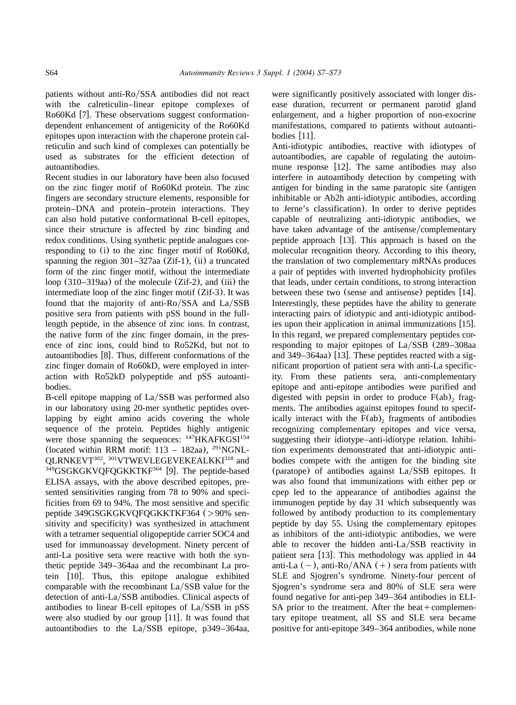patients without anti-Ro/SSA antibodies did not react with the calreticulin–linear epitope complexes of Ro60Kd [7]. These observations suggest conformationdependent enhancement of antigenicity of the Ro60Kd epitopes upon interaction with the chaperone protein calreticulin and such kind of complexes can potentially be used as substrates for the efficient detection of autoantibodies.

Recent studies in our laboratory have been also focused on the zinc finger motif of Ro60Kd protein. The zinc fingers are secondary structure elements, responsible for protein–DNA and protein–protein interactions. They can also hold putative conformational B-cell epitopes, since their structure is affected by zinc binding and redox conditions. Using synthetic peptide analogues corresponding to (i) to the zinc finger motif of Ro60Kd, spanning the region 301–327aa (Zif-1), (ii) a truncated form of the zinc finger motif, without the intermediate loop  $(310-319aa)$  of the molecule  $(Zif-2)$ , and  $(iii)$  the intermediate loop of the zinc finger motif  $(Zif-3)$ . It was found that the majority of anti-Ro/SSA and La/SSB positive sera from patients with pSS bound in the fulllength peptide, in the absence of zinc ions. In contrast, the native form of the zinc finger domain, in the presence of zinc ions, could bind to Ro52Kd, but not to autoantibodies [8]. Thus, different conformations of the zinc finger domain of Ro60kD, were employed in interaction with Ro52kD polypeptide and pSS autoantibodies.

B-cell epitope mapping of La/SSB was performed also in our laboratory using 20-mer synthetic peptides overlapping by eight amino acids covering the whole sequence of the protein. Peptides highly antigenic were those spanning the sequences:  $^{147}$ HKAFKGSI<sup>154</sup> (located within RRM motif:  $113 - 182$ aa), <sup>291</sup>NGNL-QLRNKEVT<sup>302</sup>, <sup>301</sup>VTWEVLEGEVEKEALKKI<sup>318</sup> and 349 GSGKGKVQFQGKKTKF<sup>364</sup> [9]. The peptide-based ELISA assays, with the above described epitopes, presented sensitivities ranging from 78 to 90% and specificities from 69 to 94%. The most sensitive and specific peptide 349GSGKGKVQFQGKKTKF364 (> 90% sensitivity and specificity) was synthesized in attachment with a tetramer sequential oligopeptide carrier SOC4 and used for immunoassay development. Ninety percent of anti-La positive sera were reactive with both the synthetic peptide 349–364aa and the recombinant La protein  $[10]$ . Thus, this epitope analogue exhibited comparable with the recombinant  $La/SSB$  value for the detection of anti-La/SSB antibodies. Clinical aspects of antibodies to linear B-cell epitopes of  $La/SSB$  in  $pSS$ were also studied by our group  $[11]$ . It was found that autoantibodies to the La/SSB epitope, p349-364aa, were significantly positively associated with longer disease duration, recurrent or permanent parotid gland enlargement, and a higher proportion of non-exocrine manifestations, compared to patients without autoantibodies  $[11]$ .

Anti-idiotypic antibodies, reactive with idiotypes of autoantibodies, are capable of regulating the autoimmune response  $[12]$ . The same antibodies may also interfere in autoantibody detection by competing with antigen for binding in the same paratopic site (antigen inhibitable or Ab2h anti-idiotypic antibodies, according to Jerne's classification). In order to derive peptides capable of neutralizing anti-idiotypic antibodies, we have taken advantage of the antisense/complementary peptide approach  $[13]$ . This approach is based on the molecular recognition theory. According to this theory, the translation of two complementary mRNAs produces a pair of peptides with inverted hydrophobicity profiles that leads, under certain conditions, to strong interaction between these two (sense and antisense) peptides [14]. Interestingly, these peptides have the ability to generate interacting pairs of idiotypic and anti-idiotypic antibodies upon their application in animal immunizations  $[15]$ . In this regard, we prepared complementary peptides corresponding to major epitopes of  $La/SSB$  (289–308aa and  $349-364$ aa) [13]. These peptides reacted with a significant proportion of patient sera with anti-La specificity. From these patients sera, anti-complementary epitope and anti-epitope antibodies were purified and digested with pepsin in order to produce  $F(ab)$ , fragments. The antibodies against epitopes found to specifically interact with the  $F(ab)$ , fragments of antibodies recognizing complementary epitopes and vice versa, suggesting their idiotype–anti-idiotype relation. Inhibition experiments demonstrated that anti-idiotypic antibodies compete with the antigen for the binding site (paratope) of antibodies against La/SSB epitopes. It was also found that immunizations with either pep or cpep led to the appearance of antibodies against the immunogen peptide by day 31 which subsequently was followed by antibody production to its complementary peptide by day 55. Using the complementary epitopes as inhibitors of the anti-idiotypic antibodies, we were able to recover the hidden anti-La/SSB reactivity in patient sera [13]. This methodology was applied in 44 anti-La  $(-)$ , anti-Ro/ANA  $(+)$  sera from patients with SLE and Sjogren's syndrome. Ninety-four percent of Sjogren's syndrome sera and 80% of SLE sera were found negative for anti-pep 349–364 antibodies in ELI-SA prior to the treatment. After the heat + complementary epitope treatment, all SS and SLE sera became positive for anti-epitope 349–364 antibodies, while none